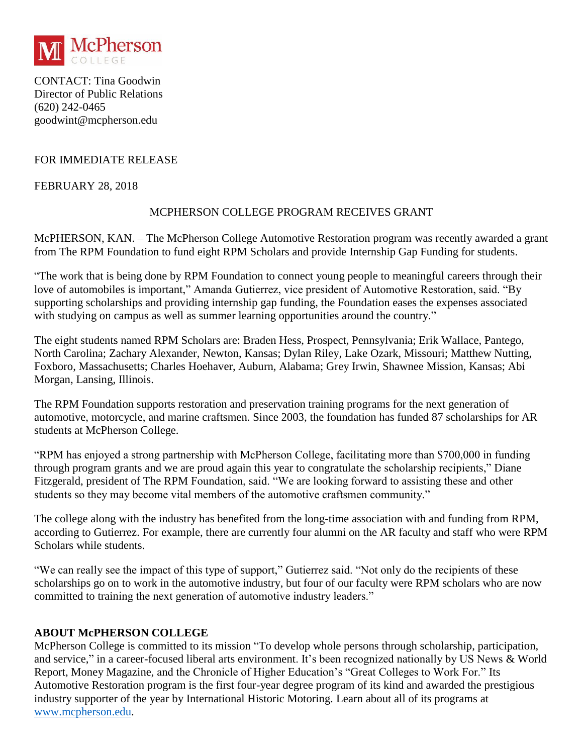

CONTACT: Tina Goodwin Director of Public Relations (620) 242-0465 goodwint@mcpherson.edu

# FOR IMMEDIATE RELEASE

#### FEBRUARY 28, 2018

## MCPHERSON COLLEGE PROGRAM RECEIVES GRANT

McPHERSON, KAN. – The McPherson College Automotive Restoration program was recently awarded a grant from The RPM Foundation to fund eight RPM Scholars and provide Internship Gap Funding for students.

"The work that is being done by RPM Foundation to connect young people to meaningful careers through their love of automobiles is important," Amanda Gutierrez, vice president of Automotive Restoration, said. "By supporting scholarships and providing internship gap funding, the Foundation eases the expenses associated with studying on campus as well as summer learning opportunities around the country."

The eight students named RPM Scholars are: Braden Hess, Prospect, Pennsylvania; Erik Wallace, Pantego, North Carolina; Zachary Alexander, Newton, Kansas; Dylan Riley, Lake Ozark, Missouri; Matthew Nutting, Foxboro, Massachusetts; Charles Hoehaver, Auburn, Alabama; Grey Irwin, Shawnee Mission, Kansas; Abi Morgan, Lansing, Illinois.

The RPM Foundation supports restoration and preservation training programs for the next generation of automotive, motorcycle, and marine craftsmen. Since 2003, the foundation has funded 87 scholarships for AR students at McPherson College.

"RPM has enjoyed a strong partnership with McPherson College, facilitating more than \$700,000 in funding through program grants and we are proud again this year to congratulate the scholarship recipients," Diane Fitzgerald, president of The RPM Foundation, said. "We are looking forward to assisting these and other students so they may become vital members of the automotive craftsmen community."

The college along with the industry has benefited from the long-time association with and funding from RPM, according to Gutierrez. For example, there are currently four alumni on the AR faculty and staff who were RPM Scholars while students.

"We can really see the impact of this type of support," Gutierrez said. "Not only do the recipients of these scholarships go on to work in the automotive industry, but four of our faculty were RPM scholars who are now committed to training the next generation of automotive industry leaders."

## **ABOUT McPHERSON COLLEGE**

McPherson College is committed to its mission "To develop whole persons through scholarship, participation, and service," in a career-focused liberal arts environment. It's been recognized nationally by US News & World Report, Money Magazine, and the Chronicle of Higher Education's "Great Colleges to Work For." Its Automotive Restoration program is the first four-year degree program of its kind and awarded the prestigious industry supporter of the year by International Historic Motoring. Learn about all of its programs at [www.mcpherson.edu.](http://www.mcpherson.edu/)